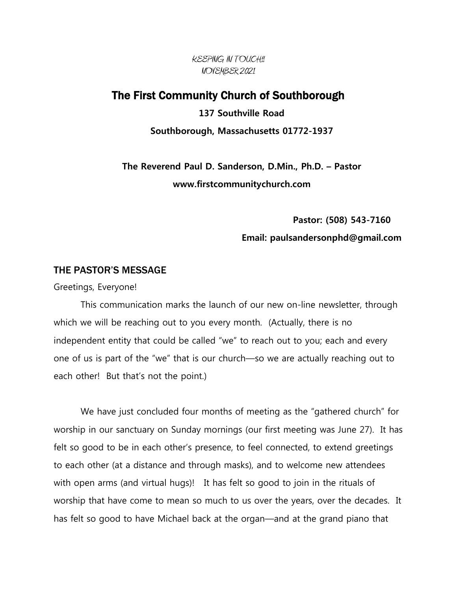KEEPING IN TOUCH!! NOVEMBER 2021

### The First Community Church of Southborough

**137 Southville Road Southborough, Massachusetts 01772-1937**

**The Reverend Paul D. Sanderson, D.Min., Ph.D. – Pastor www.firstcommunitychurch.com**

> **Pastor: (508) 543-7160 Email: paulsandersonphd@gmail.com**

#### THE PASTOR'S MESSAGE

Greetings, Everyone!

This communication marks the launch of our new on-line newsletter, through which we will be reaching out to you every month. (Actually, there is no independent entity that could be called "we" to reach out to you; each and every one of us is part of the "we" that is our church—so we are actually reaching out to each other! But that's not the point.)

We have just concluded four months of meeting as the "gathered church" for worship in our sanctuary on Sunday mornings (our first meeting was June 27). It has felt so good to be in each other's presence, to feel connected, to extend greetings to each other (at a distance and through masks), and to welcome new attendees with open arms (and virtual hugs)! It has felt so good to join in the rituals of worship that have come to mean so much to us over the years, over the decades. It has felt so good to have Michael back at the organ—and at the grand piano that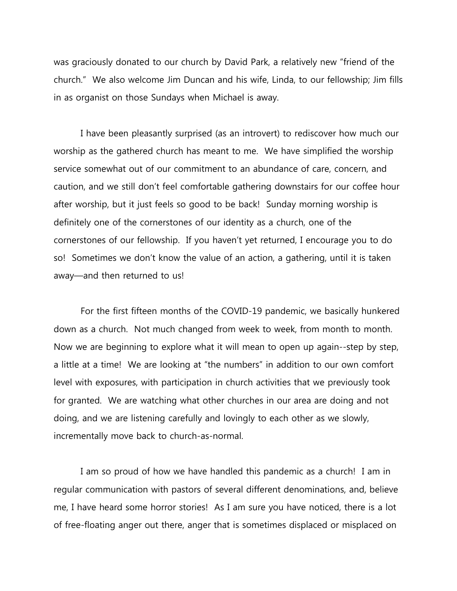was graciously donated to our church by David Park, a relatively new "friend of the church." We also welcome Jim Duncan and his wife, Linda, to our fellowship; Jim fills in as organist on those Sundays when Michael is away.

I have been pleasantly surprised (as an introvert) to rediscover how much our worship as the gathered church has meant to me. We have simplified the worship service somewhat out of our commitment to an abundance of care, concern, and caution, and we still don't feel comfortable gathering downstairs for our coffee hour after worship, but it just feels so good to be back! Sunday morning worship is definitely one of the cornerstones of our identity as a church, one of the cornerstones of our fellowship. If you haven't yet returned, I encourage you to do so! Sometimes we don't know the value of an action, a gathering, until it is taken away—and then returned to us!

For the first fifteen months of the COVID-19 pandemic, we basically hunkered down as a church. Not much changed from week to week, from month to month. Now we are beginning to explore what it will mean to open up again--step by step, a little at a time! We are looking at "the numbers" in addition to our own comfort level with exposures, with participation in church activities that we previously took for granted. We are watching what other churches in our area are doing and not doing, and we are listening carefully and lovingly to each other as we slowly, incrementally move back to church-as-normal.

I am so proud of how we have handled this pandemic as a church! I am in regular communication with pastors of several different denominations, and, believe me, I have heard some horror stories! As I am sure you have noticed, there is a lot of free-floating anger out there, anger that is sometimes displaced or misplaced on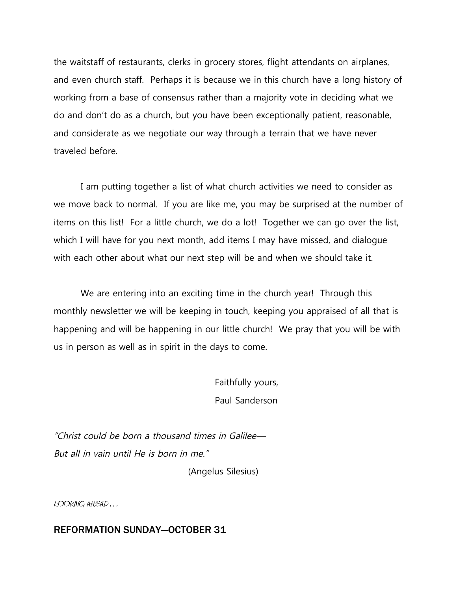the waitstaff of restaurants, clerks in grocery stores, flight attendants on airplanes, and even church staff. Perhaps it is because we in this church have a long history of working from a base of consensus rather than a majority vote in deciding what we do and don't do as a church, but you have been exceptionally patient, reasonable, and considerate as we negotiate our way through a terrain that we have never traveled before.

I am putting together a list of what church activities we need to consider as we move back to normal. If you are like me, you may be surprised at the number of items on this list! For a little church, we do a lot! Together we can go over the list, which I will have for you next month, add items I may have missed, and dialogue with each other about what our next step will be and when we should take it.

We are entering into an exciting time in the church year! Through this monthly newsletter we will be keeping in touch, keeping you appraised of all that is happening and will be happening in our little church! We pray that you will be with us in person as well as in spirit in the days to come.

> Faithfully yours, Paul Sanderson

"Christ could be born <sup>a</sup> thousand times in Galilee— But all in vain until He is born in me."

(Angelus Silesius)

LOOKING AHEAD . . .

#### REFORMATION SUNDAY—OCTOBER 31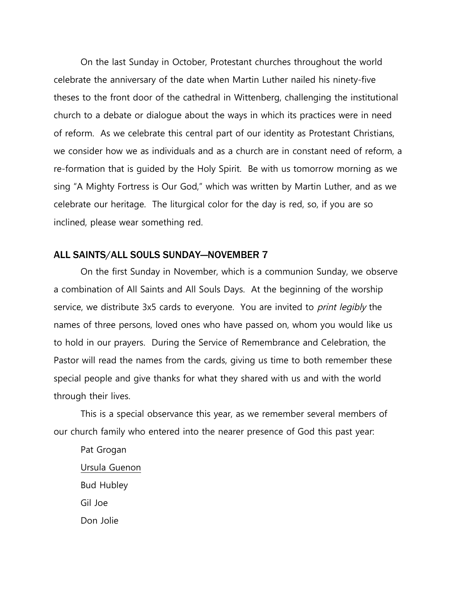On the last Sunday in October, Protestant churches throughout the world celebrate the anniversary of the date when Martin Luther nailed his ninety-five theses to the front door of the cathedral in Wittenberg, challenging the institutional church to a debate or dialogue about the ways in which its practices were in need of reform. As we celebrate this central part of our identity as Protestant Christians, we consider how we as individuals and as a church are in constant need of reform, a re-formation that is guided by the Holy Spirit. Be with us tomorrow morning as we sing "A Mighty Fortress is Our God," which was written by Martin Luther, and as we celebrate our heritage. The liturgical color for the day is red, so, if you are so inclined, please wear something red.

#### ALL SAINTS/ALL SOULS SUNDAY—NOVEMBER 7

On the first Sunday in November, which is a communion Sunday, we observe a combination of All Saints and All Souls Days. At the beginning of the worship service, we distribute 3x5 cards to everyone. You are invited to *print legibly* the names of three persons, loved ones who have passed on, whom you would like us to hold in our prayers. During the Service of Remembrance and Celebration, the Pastor will read the names from the cards, giving us time to both remember these special people and give thanks for what they shared with us and with the world through their lives.

This is a special observance this year, as we remember several members of our church family who entered into the nearer presence of God this past year:

Pat Grogan Ursula Guenon Bud Hubley Gil Joe Don Jolie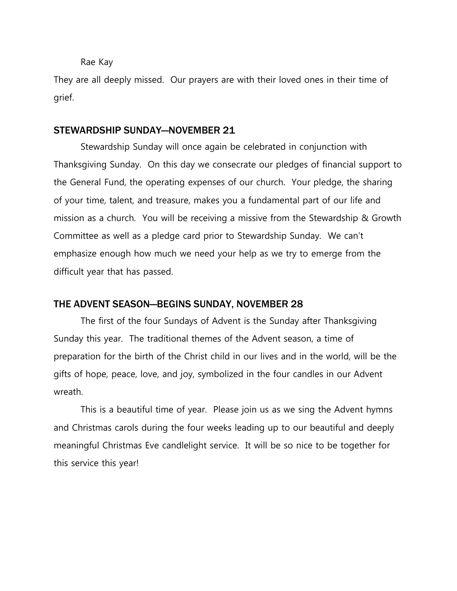Rae Kay

They are all deeply missed. Our prayers are with their loved ones in their time of grief.

#### STEWARDSHIP SUNDAY—NOVEMBER 21

Stewardship Sunday will once again be celebrated in conjunction with Thanksgiving Sunday. On this day we consecrate our pledges of financial support to the General Fund, the operating expenses of our church. Your pledge, the sharing of your time, talent, and treasure, makes you a fundamental part of our life and mission as a church. You will be receiving a missive from the Stewardship & Growth Committee as well as a pledge card prior to Stewardship Sunday. We can't emphasize enough how much we need your help as we try to emerge from the difficult year that has passed.

#### THE ADVENT SEASON—BEGINS SUNDAY, NOVEMBER 28

The first of the four Sundays of Advent is the Sunday after Thanksgiving Sunday this year. The traditional themes of the Advent season, a time of preparation for the birth of the Christ child in our lives and in the world, will be the gifts of hope, peace, love, and joy, symbolized in the four candles in our Advent wreath.

This is a beautiful time of year. Please join us as we sing the Advent hymns and Christmas carols during the four weeks leading up to our beautiful and deeply meaningful Christmas Eve candlelight service. It will be so nice to be together for this service this year!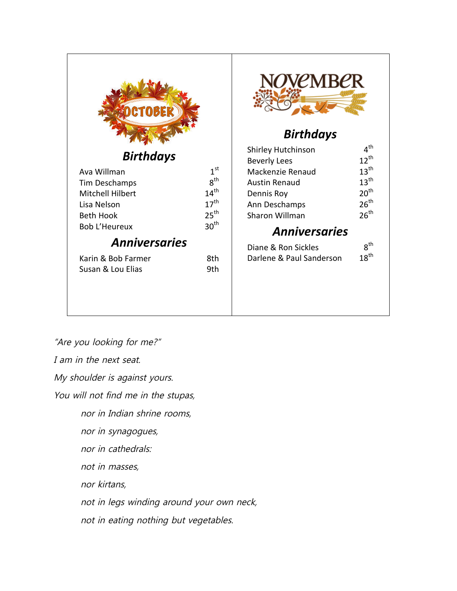| <b>CTOBER</b> |
|---------------|
|               |

## *Birthdays*

| Ava Willman          | 1 <sup>st</sup>  |
|----------------------|------------------|
| Tim Deschamps        | $R^{\text{th}}$  |
| Mitchell Hilbert     | 14 <sup>th</sup> |
| Lisa Nelson          | 17 <sup>th</sup> |
| <b>Beth Hook</b>     | 25 <sup>th</sup> |
| <b>Bob L'Heureux</b> | 30 <sup>th</sup> |
| .                    |                  |

# *Anniversaries*

| Karin & Bob Farmer | -8th |
|--------------------|------|
| Susan & Lou Elias  | .9th |



# *Birthdays*

| $12^{th}$        |
|------------------|
| $13^{\text{th}}$ |
| $13^{\text{th}}$ |
| 20 <sup>th</sup> |
| 26 <sup>th</sup> |
| 26 <sup>th</sup> |
|                  |

# *Anniversaries*

| Diane & Ron Sickles      | $R^{th}$         |
|--------------------------|------------------|
| Darlene & Paul Sanderson | $18^{\text{th}}$ |

"Are you looking for me?"

I am in the next seat.

My shoulder is against yours.

You will not find me in the stupas,

nor in Indian shrine rooms,

nor in synagogues,

nor in cathedrals:

not in masses,

nor kirtans,

not in legs winding around your own neck,

not in eating nothing but vegetables.